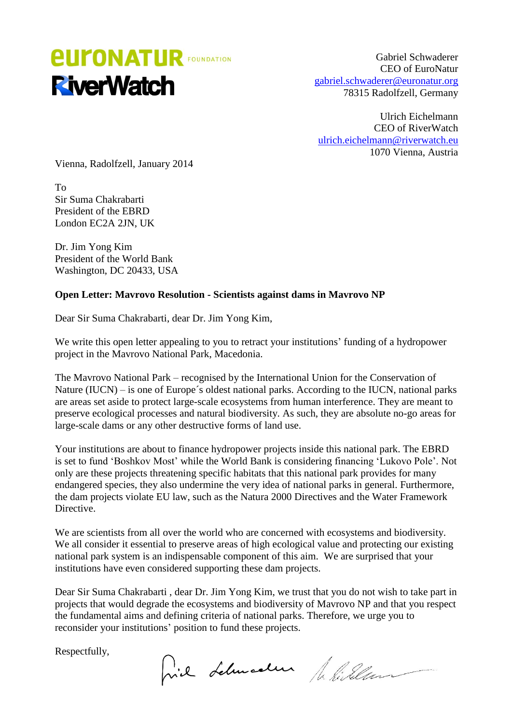## *<u>EUFONATUR FOUNDATION</u>* **RiverWatch**

Gabriel Schwaderer CEO of EuroNatur [gabriel.schwaderer@euronatur.org](mailto:gabriel.schwaderer@euronatur.org) 78315 Radolfzell, Germany

Ulrich Eichelmann CEO of RiverWatch [ulrich.eichelmann@riverwatch.eu](mailto:ulrich.eichelmann@riverwatch.eu) 1070 Vienna, Austria

Vienna, Radolfzell, January 2014

To Sir Suma Chakrabarti President of the EBRD London EC2A 2JN, UK

Dr. Jim Yong Kim President of the World Bank Washington, DC 20433, USA

## **Open Letter: Mavrovo Resolution - Scientists against dams in Mavrovo NP**

Dear Sir Suma Chakrabarti, dear Dr. Jim Yong Kim,

We write this open letter appealing to you to retract your institutions' funding of a hydropower project in the Mavrovo National Park, Macedonia.

The Mavrovo National Park – recognised by the International Union for the Conservation of Nature (IUCN) – is one of Europe's oldest national parks. According to the IUCN, national parks are areas set aside to protect large-scale ecosystems from human interference. They are meant to preserve ecological processes and natural biodiversity. As such, they are absolute no-go areas for large-scale dams or any other destructive forms of land use.

Your institutions are about to finance hydropower projects inside this national park. The EBRD is set to fund 'Boshkov Most' while the World Bank is considering financing 'Lukovo Pole'. Not only are these projects threatening specific habitats that this national park provides for many endangered species, they also undermine the very idea of national parks in general. Furthermore, the dam projects violate EU law, such as the Natura 2000 Directives and the Water Framework Directive.

We are scientists from all over the world who are concerned with ecosystems and biodiversity. We all consider it essential to preserve areas of high ecological value and protecting our existing national park system is an indispensable component of this aim. We are surprised that your institutions have even considered supporting these dam projects.

Dear Sir Suma Chakrabarti , dear Dr. Jim Yong Kim, we trust that you do not wish to take part in projects that would degrade the ecosystems and biodiversity of Mavrovo NP and that you respect the fundamental aims and defining criteria of national parks. Therefore, we urge you to reconsider your institutions' position to fund these projects.

Respectfully,

hil Lelmalen filillen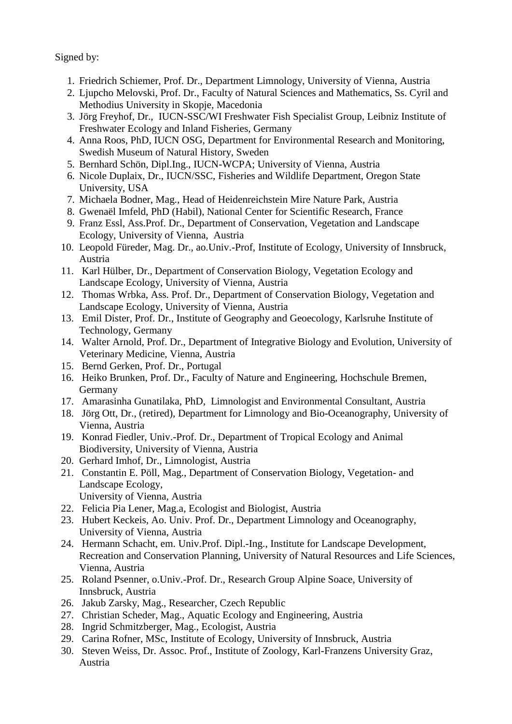Signed by:

- 1. Friedrich Schiemer, Prof. Dr., Department Limnology, University of Vienna, Austria
- 2. Ljupcho Melovski, Prof. Dr., Faculty of Natural Sciences and Mathematics, Ss. Cyril and Methodius University in Skopje, Macedonia
- 3. Jörg Freyhof, Dr., IUCN-SSC/WI Freshwater Fish Specialist Group, Leibniz Institute of Freshwater Ecology and Inland Fisheries, Germany
- 4. Anna Roos, PhD, IUCN OSG, Department for Environmental Research and Monitoring, Swedish Museum of Natural History, Sweden
- 5. Bernhard Schön, Dipl.Ing., IUCN-WCPA; University of Vienna, Austria
- 6. Nicole Duplaix, Dr., IUCN/SSC, Fisheries and Wildlife Department, Oregon State University, USA
- 7. Michaela Bodner, Mag., Head of Heidenreichstein Mire Nature Park, Austria
- 8. Gwenaël Imfeld, PhD (Habil), National Center for Scientific Research, France
- 9. Franz Essl, Ass.Prof. Dr., Department of Conservation, Vegetation and Landscape Ecology, University of Vienna, Austria
- 10. Leopold Füreder, Mag. Dr., ao.Univ.-Prof, Institute of Ecology, University of Innsbruck, Austria
- 11. Karl Hülber, Dr., Department of Conservation Biology, Vegetation Ecology and Landscape Ecology, University of Vienna, Austria
- 12. Thomas Wrbka, Ass. Prof. Dr., Department of Conservation Biology, Vegetation and Landscape Ecology, University of Vienna, Austria
- 13. Emil Dister, Prof. Dr., Institute of Geography and Geoecology, Karlsruhe Institute of Technology, Germany
- 14. Walter Arnold, Prof. Dr., Department of Integrative Biology and Evolution, University of Veterinary Medicine, Vienna, Austria
- 15. Bernd Gerken, Prof. Dr., Portugal
- 16. Heiko Brunken, Prof. Dr., Faculty of Nature and Engineering, Hochschule Bremen, Germany
- 17. Amarasinha Gunatilaka, PhD, Limnologist and Environmental Consultant, Austria
- 18. Jörg Ott, Dr., (retired), Department for Limnology and Bio-Oceanography, University of Vienna, Austria
- 19. Konrad Fiedler, Univ.-Prof. Dr., Department of Tropical Ecology and Animal Biodiversity, University of Vienna, Austria
- 20. Gerhard Imhof, Dr., Limnologist, Austria
- 21. Constantin E. Pöll, Mag., Department of Conservation Biology, Vegetation- and Landscape Ecology,
	- University of Vienna, Austria
- 22. Felicia Pia Lener, Mag.a, Ecologist and Biologist, Austria
- 23. Hubert Keckeis, Ao. Univ. Prof. Dr., Department Limnology and Oceanography, University of Vienna, Austria
- 24. Hermann Schacht, em. Univ.Prof. Dipl.-Ing., Institute for Landscape Development, Recreation and Conservation Planning, University of Natural Resources and Life Sciences, Vienna, Austria
- 25. Roland Psenner, o.Univ.-Prof. Dr., Research Group Alpine Soace, University of Innsbruck, Austria
- 26. Jakub Zarsky, Mag., Researcher, Czech Republic
- 27. Christian Scheder, Mag., Aquatic Ecology and Engineering, Austria
- 28. Ingrid Schmitzberger, Mag., Ecologist, Austria
- 29. Carina Rofner, MSc, Institute of Ecology, University of Innsbruck, Austria
- 30. Steven Weiss, Dr. Assoc. Prof., Institute of Zoology, Karl-Franzens University Graz, Austria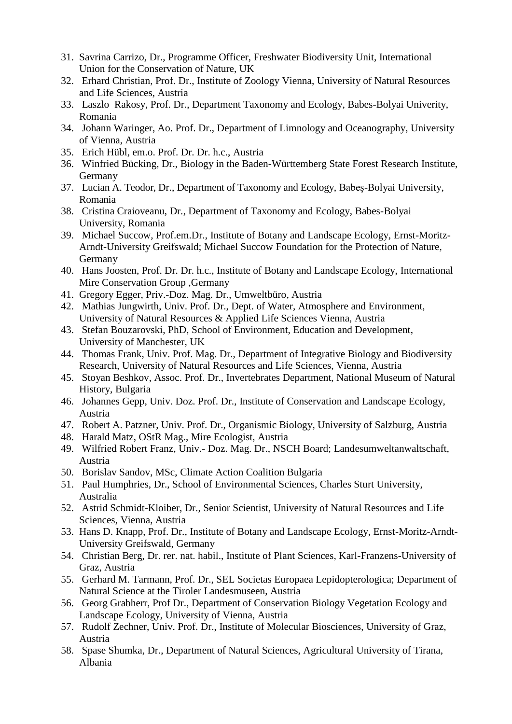- 31. Savrina Carrizo, Dr., Programme Officer, Freshwater Biodiversity Unit, International Union for the Conservation of Nature, UK
- 32. Erhard Christian, Prof. Dr., Institute of Zoology Vienna, University of Natural Resources and Life Sciences, Austria
- 33. Laszlo Rakosy, Prof. Dr., Department Taxonomy and Ecology, Babes-Bolyai Univerity, Romania
- 34. Johann Waringer, Ao. Prof. Dr., Department of Limnology and Oceanography, University of Vienna, Austria
- 35. Erich Hübl, em.o. Prof. Dr. Dr. h.c., Austria
- 36. Winfried Bücking, Dr., Biology in the Baden-Württemberg State Forest Research Institute, Germany
- 37. Lucian A. Teodor, Dr., Department of Taxonomy and Ecology, Babeş-Bolyai University, Romania
- 38. Cristina Craioveanu, Dr., Department of Taxonomy and Ecology, Babes-Bolyai University, Romania
- 39. Michael Succow, Prof.em.Dr., Institute of Botany and Landscape Ecology, Ernst-Moritz-Arndt-University Greifswald; Michael Succow Foundation for the Protection of Nature, Germany
- 40. Hans Joosten, Prof. Dr. Dr. h.c., Institute of Botany and Landscape Ecology, International Mire Conservation Group ,Germany
- 41. Gregory Egger, Priv.-Doz. Mag. Dr., Umweltbüro, Austria
- 42. Mathias Jungwirth, Univ. Prof. Dr., Dept. of Water, Atmosphere and Environment, University of Natural Resources & Applied Life Sciences Vienna, Austria
- 43. Stefan Bouzarovski, PhD, School of Environment, Education and Development, University of Manchester, UK
- 44. Thomas Frank, Univ. Prof. Mag. Dr., Department of Integrative Biology and Biodiversity Research, University of Natural Resources and Life Sciences, Vienna, Austria
- 45. Stoyan Beshkov, Assoc. Prof. Dr., Invertebrates Department, National Museum of Natural History, Bulgaria
- 46. Johannes Gepp, Univ. Doz. Prof. Dr., Institute of Conservation and Landscape Ecology, Austria
- 47. Robert A. Patzner, Univ. Prof. Dr., Organismic Biology, University of Salzburg, Austria
- 48. Harald Matz, OStR Mag., Mire Ecologist, Austria
- 49. Wilfried Robert Franz, Univ.- Doz. Mag. Dr., NSCH Board; Landesumweltanwaltschaft, Austria
- 50. Borislav Sandov, MSc, Climate Action Coalition Bulgaria
- 51. Paul Humphries, Dr., School of Environmental Sciences, Charles Sturt University, Australia
- 52. Astrid Schmidt-Kloiber, Dr., Senior Scientist, University of Natural Resources and Life Sciences, Vienna, Austria
- 53. Hans D. Knapp, Prof. Dr., Institute of Botany and Landscape Ecology, Ernst-Moritz-Arndt-University Greifswald, Germany
- 54. Christian Berg, Dr. rer. nat. habil., Institute of Plant Sciences, Karl-Franzens-University of Graz, Austria
- 55. Gerhard M. Tarmann, Prof. Dr., SEL Societas Europaea Lepidopterologica; Department of Natural Science at the Tiroler Landesmuseen, Austria
- 56. Georg Grabherr, Prof Dr., Department of Conservation Biology Vegetation Ecology and Landscape Ecology, University of Vienna, Austria
- 57. Rudolf Zechner, Univ. Prof. Dr., Institute of Molecular Biosciences, University of Graz, Austria
- 58. Spase Shumka, Dr., Department of Natural Sciences, Agricultural University of Tirana, Albania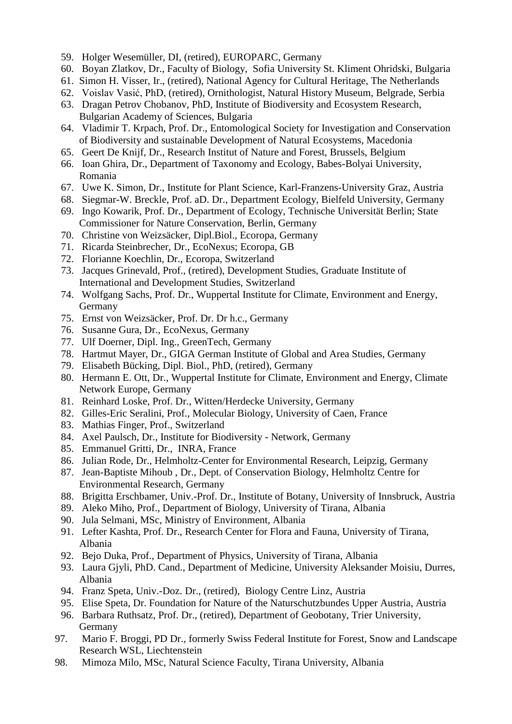- 59. Holger Wesemüller, DI, (retired), EUROPARC, Germany
- 60. Boyan Zlatkov, Dr., Faculty of Biology, Sofia University St. Kliment Ohridski, Bulgaria
- 61. Simon H. Visser, Ir., (retired), National Agency for Cultural Heritage, The Netherlands
- 62. Voislav Vasić, PhD, (retired), Ornithologist, Natural History Museum, Belgrade, Serbia
- 63. Dragan Petrov Chobanov, PhD, Institute of Biodiversity and Ecosystem Research, Bulgarian Academy of Sciences, Bulgaria
- 64. Vladimir T. Krpach, Prof. Dr., Entomological Society for Investigation and Conservation of Biodiversity and sustainable Development of Natural Ecosystems, Macedonia
- 65. Geert De Knijf, Dr., Research Institut of Nature and Forest, Brussels, Belgium
- 66. Ioan Ghira, Dr., Department of Taxonomy and Ecology, Babes-Bolyai University, Romania
- 67. Uwe K. Simon, Dr., Institute for Plant Science, Karl-Franzens-University Graz, Austria
- 68. Siegmar-W. Breckle, Prof. aD. Dr., Department Ecology, Bielfeld University, Germany
- 69. Ingo Kowarik, Prof. Dr., Department of Ecology, Technische Universität Berlin; State Commissioner for Nature Conservation, Berlin, Germany
- 70. Christine von Weizsäcker, Dipl.Biol., Ecoropa, Germany
- 71. Ricarda Steinbrecher, Dr., EcoNexus; Ecoropa, GB
- 72. Florianne Koechlin, Dr., Ecoropa, Switzerland
- 73. Jacques Grinevald, Prof., (retired), Development Studies, Graduate Institute of International and Development Studies, Switzerland
- 74. Wolfgang Sachs, Prof. Dr., Wuppertal Institute for Climate, Environment and Energy, Germany
- 75. Ernst von Weizsäcker, Prof. Dr. Dr h.c., Germany
- 76. Susanne Gura, Dr., EcoNexus, Germany
- 77. Ulf Doerner, Dipl. Ing., GreenTech, Germany
- 78. Hartmut Mayer, Dr., GIGA German Institute of Global and Area Studies, Germany
- 79. Elisabeth Bücking, Dipl. Biol., PhD, (retired), Germany
- 80. Hermann E. Ott, Dr., Wuppertal Institute for Climate, Environment and Energy, Climate Network Europe, Germany
- 81. Reinhard Loske, Prof. Dr., Witten/Herdecke University, Germany
- 82. Gilles-Eric Seralini, Prof., Molecular Biology, University of Caen, France
- 83. Mathias Finger, Prof., Switzerland
- 84. Axel Paulsch, Dr., Institute for Biodiversity Network, Germany
- 85. Emmanuel Gritti, Dr., INRA, France
- 86. Julian Rode, Dr., Helmholtz-Center for Environmental Research, Leipzig, Germany
- 87. Jean-Baptiste Mihoub , Dr., Dept. of Conservation Biology, Helmholtz Centre for Environmental Research, Germany
- 88. Brigitta Erschbamer, Univ.-Prof. Dr., Institute of Botany, University of Innsbruck, Austria
- 89. Aleko Miho, Prof., Department of Biology, University of Tirana, Albania
- 90. Jula Selmani, MSc, Ministry of Environment, Albania
- 91. Lefter Kashta, Prof. Dr., Research Center for Flora and Fauna, University of Tirana, Albania
- 92. Bejo Duka, Prof., Department of Physics, University of Tirana, Albania
- 93. Laura Gjyli, PhD. Cand., Department of Medicine, University Aleksander Moisiu, Durres, Albania
- 94. Franz Speta, Univ.-Doz. Dr., (retired), Biology Centre Linz, Austria
- 95. Elise Speta, Dr. Foundation for Nature of the Naturschutzbundes Upper Austria, Austria
- 96. Barbara Ruthsatz, Prof. Dr., (retired), Department of Geobotany, Trier University, Germany
- 97. Mario F. Broggi, PD Dr., formerly Swiss Federal Institute for Forest, Snow and Landscape Research WSL, Liechtenstein
- 98. Mimoza Milo, MSc, Natural Science Faculty, Tirana University, Albania